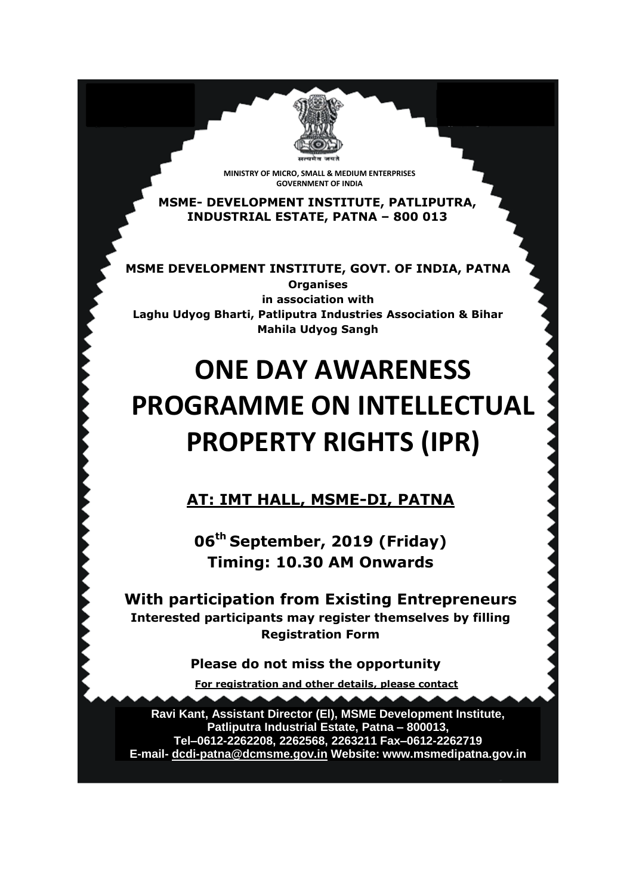**MINISTRY OF MICRO, SMALL & MEDIUM ENTERPRISES GOVERNMENT OF INDIA**

**MSME- DEVELOPMENT INSTITUTE, PATLIPUTRA, INDUSTRIAL ESTATE, PATNA – 800 013**

**MSME DEVELOPMENT INSTITUTE, GOVT. OF INDIA, PATNA Organises in association with Laghu Udyog Bharti, Patliputra Industries Association & Bihar Mahila Udyog Sangh**

# **ONE DAY AWARENESS PROGRAMME ON INTELLECTUAL PROPERTY RIGHTS (IPR)**

**AT: IMT HALL, MSME-DI, PATNA**

**06th September, 2019 (Friday) Timing: 10.30 AM Onwards**

**With participation from Existing Entrepreneurs Interested participants may register themselves by filling Registration Form** 

**Please do not miss the opportunity** 

**For registration and other details, please contact**

**Ravi Kant, Assistant Director (El), MSME Development Institute, Patliputra Industrial Estate, Patna – 800013, Tel–0612-2262208, 2262568, 2263211 Fax–0612-2262719 E-mail- [dcdi-patna@dcmsme.gov.in](mailto:dcdi-patna@dcmsme.gov.in) Website: www.msmedipatna.gov.in**